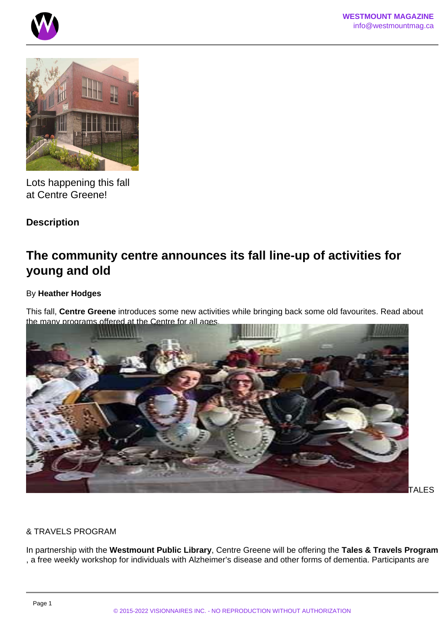



Lots happening this fall at Centre Greene!

# **Description**

# **The community centre announces its fall line-up of activities for young and old**

## By **Heather Hodges**

This fall, **Centre Greene** introduces some new activities while bringing back some old favourites. Read about the many programs offered at the Centre for all ages.



**TALES** 

## & TRAVELS PROGRAM

In partnership with the **Westmount Public Library**, Centre Greene will be offering the **Tales & Travels Program** , a free weekly workshop for individuals with Alzheimer's disease and other forms of dementia. Participants are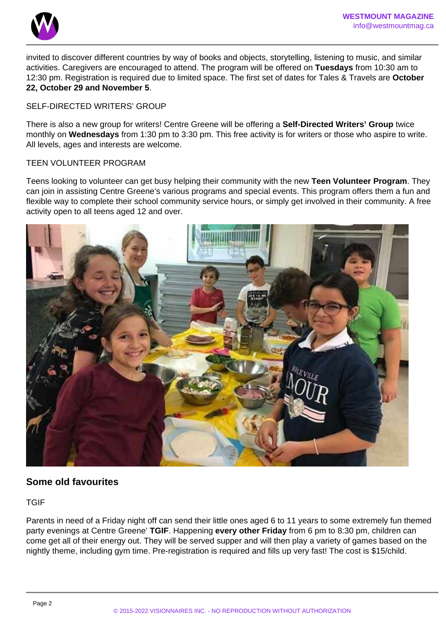

invited to discover different countries by way of books and objects, storytelling, listening to music, and similar activities. Caregivers are encouraged to attend. The program will be offered on **Tuesdays** from 10:30 am to 12:30 pm. Registration is required due to limited space. The first set of dates for Tales & Travels are **October 22, October 29 and November 5**.

#### SELF-DIRECTED WRITERS' GROUP

There is also a new group for writers! Centre Greene will be offering a **Self-Directed Writers' Group** twice monthly on **Wednesdays** from 1:30 pm to 3:30 pm. This free activity is for writers or those who aspire to write. All levels, ages and interests are welcome.

#### TEEN VOLUNTEER PROGRAM

Teens looking to volunteer can get busy helping their community with the new **Teen Volunteer Program**. They can join in assisting Centre Greene's various programs and special events. This program offers them a fun and flexible way to complete their school community service hours, or simply get involved in their community. A free activity open to all teens aged 12 and over.



# **Some old favourites**

TGIF

Parents in need of a Friday night off can send their little ones aged 6 to 11 years to some extremely fun themed party evenings at Centre Greene' **TGIF**. Happening **every other Friday** from 6 pm to 8:30 pm, children can come get all of their energy out. They will be served supper and will then play a variety of games based on the nightly theme, including gym time. Pre-registration is required and fills up very fast! The cost is \$15/child.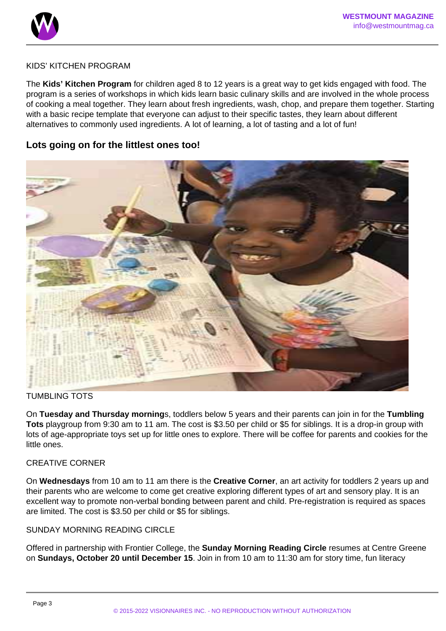

#### KIDS' KITCHEN PROGRAM

The **Kids' Kitchen Program** for children aged 8 to 12 years is a great way to get kids engaged with food. The program is a series of workshops in which kids learn basic culinary skills and are involved in the whole process of cooking a meal together. They learn about fresh ingredients, wash, chop, and prepare them together. Starting with a basic recipe template that everyone can adjust to their specific tastes, they learn about different alternatives to commonly used ingredients. A lot of learning, a lot of tasting and a lot of fun!

# **Lots going on for the littlest ones too!**



#### TUMBLING TOTS

On **Tuesday and Thursday morning**s, toddlers below 5 years and their parents can join in for the **Tumbling Tots** playgroup from 9:30 am to 11 am. The cost is \$3.50 per child or \$5 for siblings. It is a drop-in group with lots of age-appropriate toys set up for little ones to explore. There will be coffee for parents and cookies for the little ones.

#### CREATIVE CORNER

On **Wednesdays** from 10 am to 11 am there is the **Creative Corner**, an art activity for toddlers 2 years up and their parents who are welcome to come get creative exploring different types of art and sensory play. It is an excellent way to promote non-verbal bonding between parent and child. Pre-registration is required as spaces are limited. The cost is \$3.50 per child or \$5 for siblings.

#### SUNDAY MORNING READING CIRCLE

Offered in partnership with Frontier College, the **Sunday Morning Reading Circle** resumes at Centre Greene on **Sundays, October 20 until December 15**. Join in from 10 am to 11:30 am for story time, fun literacy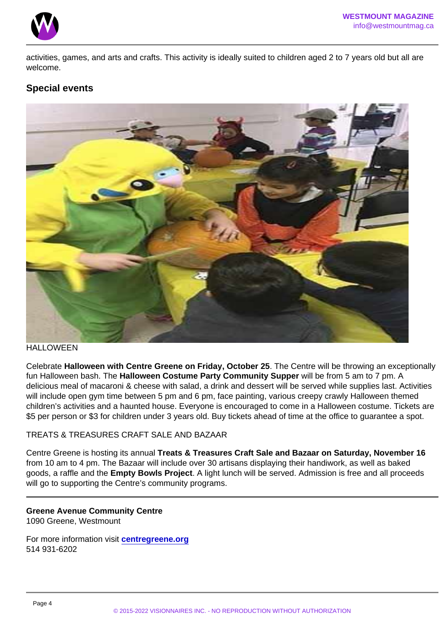activities, games, and arts and crafts. This activity is ideally suited to children aged 2 to 7 years old but all are welcome.

## Special events

#### HALL OWFFN

Celebrate Halloween with Centre Greene on Friday, October 25 . The Centre will be throwing an exceptionally fun Halloween bash. The Halloween Costume Party Community Supper will be from 5 am to 7 pm. A delicious meal of macaroni & cheese with salad, a drink and dessert will be served while supplies last. Activities will include open gym time between 5 pm and 6 pm, face painting, various creepy crawly Halloween themed children's activities and a haunted house. Everyone is encouraged to come in a Halloween costume. Tickets are \$5 per person or \$3 for children under 3 years old. Buy tickets ahead of time at the office to guarantee a spot.

#### TREATS & TREASURES CRAFT SALE AND BAZAAR

Centre Greene is hosting its annual Treats & Treasures Craft Sale and Bazaar on Saturday, November 16 from 10 am to 4 pm. The Bazaar will include over 30 artisans displaying their handiwork, as well as baked goods, a raffle and the Empty Bowls Project . A light lunch will be served. Admission is free and all proceeds will go to supporting the Centre's community programs.

Greene Avenue Community Centre 1090 Greene, Westmount

For more information visit [centregreene.org](http://www.centregreene.org) 514 931-6202